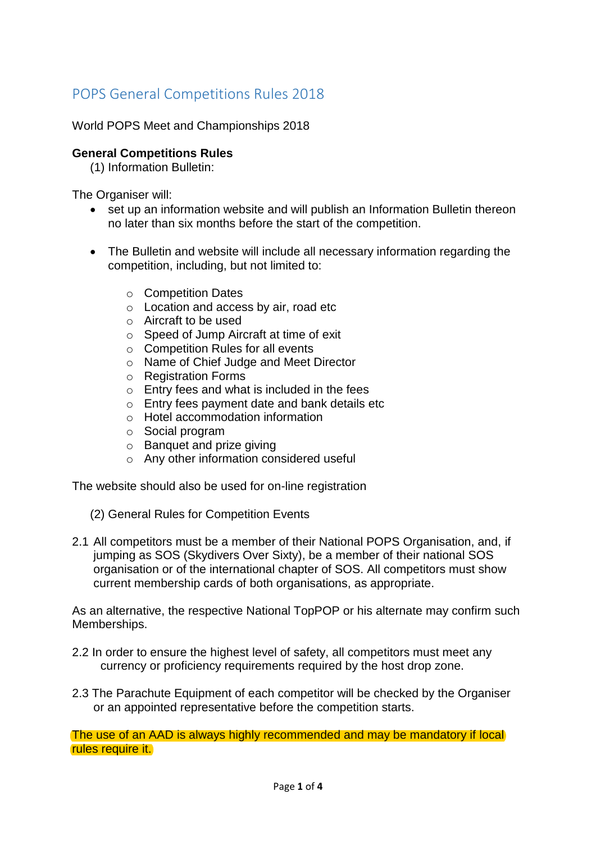# POPS General Competitions Rules 2018

World POPS Meet and Championships 2018

# **General Competitions Rules**

(1) Information Bulletin:

The Organiser will:

- set up an information website and will publish an Information Bulletin thereon no later than six months before the start of the competition.
- The Bulletin and website will include all necessary information regarding the competition, including, but not limited to:
	- o Competition Dates
	- o Location and access by air, road etc
	- o Aircraft to be used
	- o Speed of Jump Aircraft at time of exit
	- o Competition Rules for all events
	- o Name of Chief Judge and Meet Director
	- o Registration Forms
	- o Entry fees and what is included in the fees
	- o Entry fees payment date and bank details etc
	- o Hotel accommodation information
	- o Social program
	- o Banquet and prize giving
	- o Any other information considered useful

The website should also be used for on-line registration

- (2) General Rules for Competition Events
- 2.1 All competitors must be a member of their National POPS Organisation, and, if jumping as SOS (Skydivers Over Sixty), be a member of their national SOS organisation or of the international chapter of SOS. All competitors must show current membership cards of both organisations, as appropriate.

As an alternative, the respective National TopPOP or his alternate may confirm such Memberships.

- 2.2 In order to ensure the highest level of safety, all competitors must meet any currency or proficiency requirements required by the host drop zone.
- 2.3 The Parachute Equipment of each competitor will be checked by the Organiser or an appointed representative before the competition starts.

The use of an AAD is always highly recommended and may be mandatory if local rules require it.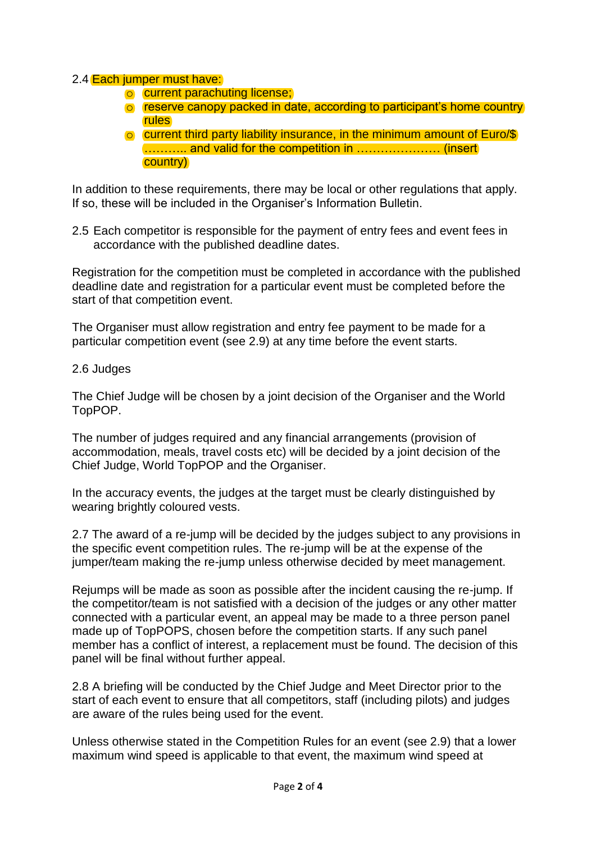# 2.4 Each jumper must have:

- o current parachuting license;
- o reserve canopy packed in date, according to participant's home country rules
- o current third party liability insurance, in the minimum amount of Euro/\$ ……….. and valid for the competition in ………………… (insert country)

In addition to these requirements, there may be local or other regulations that apply. If so, these will be included in the Organiser's Information Bulletin.

2.5 Each competitor is responsible for the payment of entry fees and event fees in accordance with the published deadline dates.

Registration for the competition must be completed in accordance with the published deadline date and registration for a particular event must be completed before the start of that competition event.

The Organiser must allow registration and entry fee payment to be made for a particular competition event (see 2.9) at any time before the event starts.

### 2.6 Judges

The Chief Judge will be chosen by a joint decision of the Organiser and the World TopPOP.

The number of judges required and any financial arrangements (provision of accommodation, meals, travel costs etc) will be decided by a joint decision of the Chief Judge, World TopPOP and the Organiser.

In the accuracy events, the judges at the target must be clearly distinguished by wearing brightly coloured vests.

2.7 The award of a re-jump will be decided by the judges subject to any provisions in the specific event competition rules. The re-jump will be at the expense of the jumper/team making the re-jump unless otherwise decided by meet management.

Rejumps will be made as soon as possible after the incident causing the re-jump. If the competitor/team is not satisfied with a decision of the judges or any other matter connected with a particular event, an appeal may be made to a three person panel made up of TopPOPS, chosen before the competition starts. If any such panel member has a conflict of interest, a replacement must be found. The decision of this panel will be final without further appeal.

2.8 A briefing will be conducted by the Chief Judge and Meet Director prior to the start of each event to ensure that all competitors, staff (including pilots) and judges are aware of the rules being used for the event.

Unless otherwise stated in the Competition Rules for an event (see 2.9) that a lower maximum wind speed is applicable to that event, the maximum wind speed at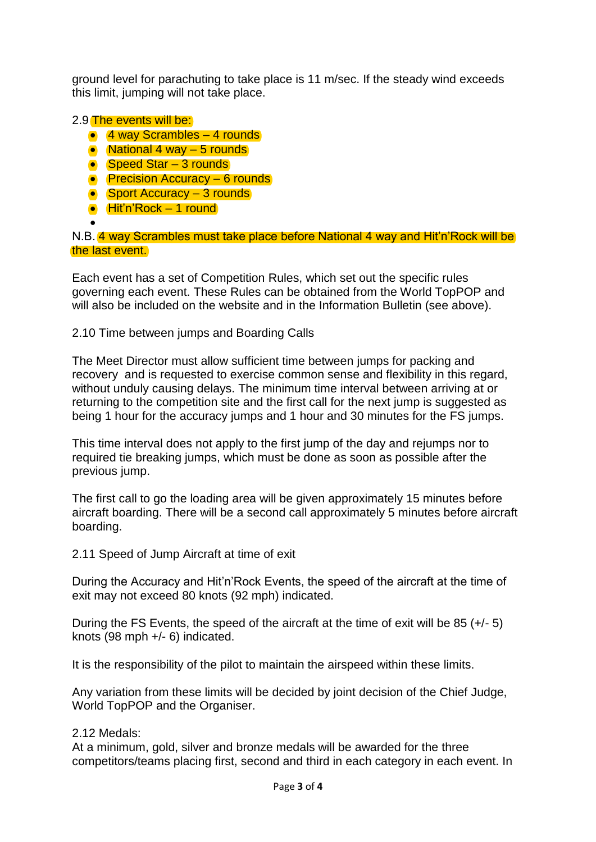ground level for parachuting to take place is 11 m/sec. If the steady wind exceeds this limit, jumping will not take place.

# 2.9 The events will be:

- 4 way Scrambles 4 rounds
- National 4 way 5 rounds
- Speed Star 3 rounds
- Precision Accuracy 6 rounds
- Sport Accuracy 3 rounds
- Hit'n'Rock 1 round
- $\bullet$

N.B. 4 way Scrambles must take place before National 4 way and Hit'n'Rock will be the last event.

Each event has a set of Competition Rules, which set out the specific rules governing each event. These Rules can be obtained from the World TopPOP and will also be included on the website and in the Information Bulletin (see above).

2.10 Time between jumps and Boarding Calls

The Meet Director must allow sufficient time between jumps for packing and recovery and is requested to exercise common sense and flexibility in this regard, without unduly causing delays. The minimum time interval between arriving at or returning to the competition site and the first call for the next jump is suggested as being 1 hour for the accuracy jumps and 1 hour and 30 minutes for the FS jumps.

This time interval does not apply to the first jump of the day and rejumps nor to required tie breaking jumps, which must be done as soon as possible after the previous jump.

The first call to go the loading area will be given approximately 15 minutes before aircraft boarding. There will be a second call approximately 5 minutes before aircraft boarding.

2.11 Speed of Jump Aircraft at time of exit

During the Accuracy and Hit'n'Rock Events, the speed of the aircraft at the time of exit may not exceed 80 knots (92 mph) indicated.

During the FS Events, the speed of the aircraft at the time of exit will be 85 (+/- 5) knots (98 mph +/- 6) indicated.

It is the responsibility of the pilot to maintain the airspeed within these limits.

Any variation from these limits will be decided by joint decision of the Chief Judge, World TopPOP and the Organiser.

### 2.12 Medals:

At a minimum, gold, silver and bronze medals will be awarded for the three competitors/teams placing first, second and third in each category in each event. In